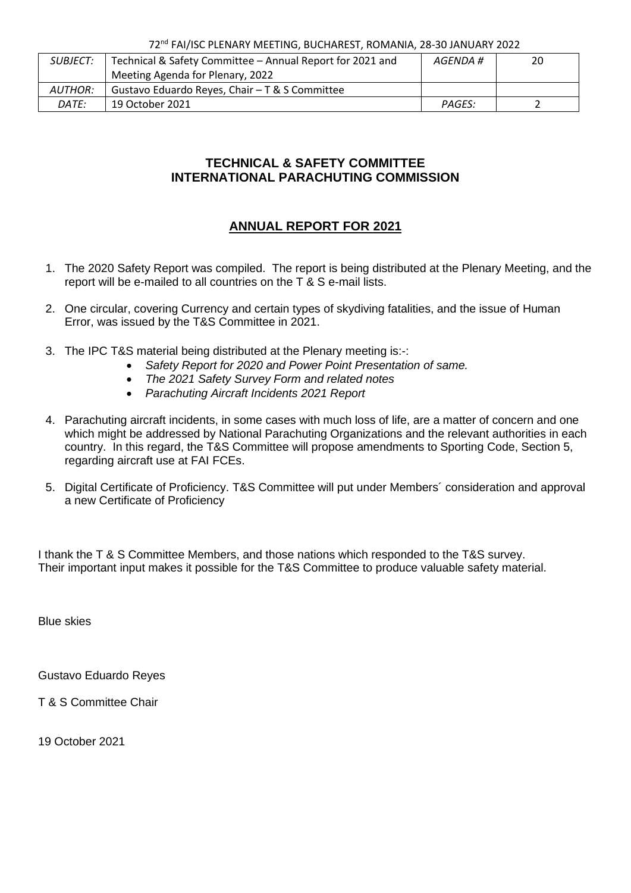72nd FAI/ISC PLENARY MEETING, BUCHAREST, ROMANIA, 28-30 JANUARY 2022

| <i>SUBJECT:</i> | Technical & Safety Committee - Annual Report for 2021 and | AGENDA # | 20 |
|-----------------|-----------------------------------------------------------|----------|----|
|                 | Meeting Agenda for Plenary, 2022                          |          |    |
| <i>AUTHOR:</i>  | Gustavo Eduardo Reyes, Chair - T & S Committee            |          |    |
| DATE:           | 19 October 2021                                           | PAGES:   |    |

### **TECHNICAL & SAFETY COMMITTEE INTERNATIONAL PARACHUTING COMMISSION**

## **ANNUAL REPORT FOR 2021**

- 1. The 2020 Safety Report was compiled. The report is being distributed at the Plenary Meeting, and the report will be e-mailed to all countries on the T & S e-mail lists.
- 2. One circular, covering Currency and certain types of skydiving fatalities, and the issue of Human Error, was issued by the T&S Committee in 2021.
- 3. The IPC T&S material being distributed at the Plenary meeting is:-:
	- *Safety Report for 2020 and Power Point Presentation of same.*
	- *The 2021 Safety Survey Form and related notes*
	- *Parachuting Aircraft Incidents 2021 Report*
- 4. Parachuting aircraft incidents, in some cases with much loss of life, are a matter of concern and one which might be addressed by National Parachuting Organizations and the relevant authorities in each country. In this regard, the T&S Committee will propose amendments to Sporting Code, Section 5, regarding aircraft use at FAI FCEs.
- 5. Digital Certificate of Proficiency. T&S Committee will put under Members´ consideration and approval a new Certificate of Proficiency

I thank the T & S Committee Members, and those nations which responded to the T&S survey. Their important input makes it possible for the T&S Committee to produce valuable safety material.

Blue skies

Gustavo Eduardo Reyes

T & S Committee Chair

19 October 2021